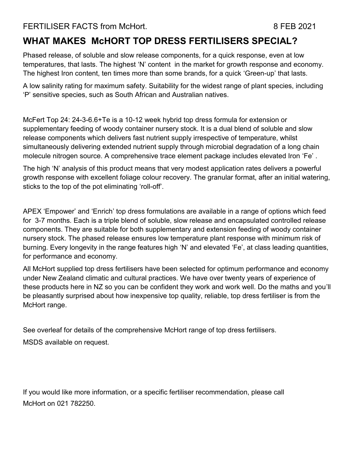#### FERTILISER FACTS from McHort. 8 FEB 2021

#### **WHAT MAKES McHORT TOP DRESS FERTILISERS SPECIAL?**

Phased release, of soluble and slow release components, for a quick response, even at low temperatures, that lasts. The highest 'N' content in the market for growth response and economy. The highest Iron content, ten times more than some brands, for a quick 'Green-up' that lasts.

A low salinity rating for maximum safety. Suitability for the widest range of plant species, including 'P' sensitive species, such as South African and Australian natives.

McFert Top 24: 24-3-6.6+Te is a 10-12 week hybrid top dress formula for extension or supplementary feeding of woody container nursery stock. It is a dual blend of soluble and slow release components which delivers fast nutrient supply irrespective of temperature, whilst simultaneously delivering extended nutrient supply through microbial degradation of a long chain molecule nitrogen source. A comprehensive trace element package includes elevated Iron 'Fe' .

The high 'N' analysis of this product means that very modest application rates delivers a powerful growth response with excellent foliage colour recovery. The granular format, after an initial watering, sticks to the top of the pot eliminating 'roll-off'.

APEX 'Empower' and 'Enrich' top dress formulations are available in a range of options which feed for 3-7 months. Each is a triple blend of soluble, slow release and encapsulated controlled release components. They are suitable for both supplementary and extension feeding of woody container nursery stock. The phased release ensures low temperature plant response with minimum risk of burning. Every longevity in the range features high 'N' and elevated 'Fe', at class leading quantities, for performance and economy.

All McHort supplied top dress fertilisers have been selected for optimum performance and economy under New Zealand climatic and cultural practices. We have over twenty years of experience of these products here in NZ so you can be confident they work and work well. Do the maths and you'll be pleasantly surprised about how inexpensive top quality, reliable, top dress fertiliser is from the McHort range.

See overleaf for details of the comprehensive McHort range of top dress fertilisers.

MSDS available on request.

If you would like more information, or a specific fertiliser recommendation, please call McHort on 021 782250.